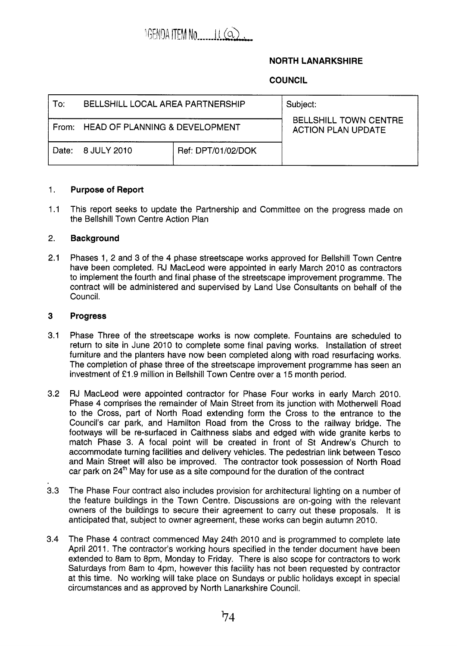

# **NORTH LANARKSHIRE**

# **COUNCIL**

| To:     | <b>BELLSHILL LOCAL AREA PARTNERSHIP</b> |                    | Subject:                                                  |
|---------|-----------------------------------------|--------------------|-----------------------------------------------------------|
|         | From: HEAD OF PLANNING & DEVELOPMENT    |                    | <b>BELLSHILL TOWN CENTRE</b><br><b>ACTION PLAN UPDATE</b> |
| Date: I | 8 JULY 2010                             | Ref: DPT/01/02/DOK |                                                           |

#### 1. **Purpose of Report**

1.1 This report seeks to update the Partnership and Committee on the progress made on the Bellshill Town Centre Action Plan

#### 2. **Background**

2.1 Phases 1, 2 and 3 of the 4 phase streetscape works approved for Bellshill Town Centre have been completed. RJ MacLeod were appointed in early March 2010 as contractors to implement the fourth and final phase of the streetscape improvement programme. The contract will be administered and supervised by Land Use Consultants on behalf of the Council.

#### **3 Progress**

- 3.1 Phase Three of the streetscape works is now complete. Fountains are scheduled to return to site in June 2010 to complete some final paving works. Installation of street furniture and the planters have now been completed along with road resurfacing works. The completion of phase three of the streetscape improvement programme has seen an investment of £1.9 million in Bellshill Town Centre over a 15 month period.
- 3.2 RJ MacLeod were appointed contractor for Phase Four works in early March 2010. Phase 4 comprises the remainder of Main Street from its junction with Motherwell Road to the Cross, part of North Road extending form the Cross to the entrance to the Council's car park, and Hamilton Road from the Cross to the railway bridge. The footways will be re-surfaced in Caithness slabs and edged with wide granite kerbs to match Phase 3. A focal point will be created in front of St Andrew's Church to accommodate turning facilities and delivery vehicles. The pedestrian link between Tesco and Main Street will also be improved. The contractor took possession of North Road car park on  $24<sup>th</sup>$  May for use as a site compound for the duration of the contract
- 3.3 The Phase Four contract also includes provision for architectural lighting on a number of the feature buildings in the Town Centre. Discussions are on-going with the relevant owners of the buildings to secure their agreement to carry out these proposals. It is anticipated that, subject to owner agreement, these works can begin autumn 2010.
- 3.4 The Phase **4** contract commenced May 24th 2010 and is programmed to complete late April 2011. The contractor's working hours specified in the tender document have been extended to 8am to 8pm, Monday to Friday. There is also scope for contractors to work Saturdays from 8am to 4pm, however this facility has not been requested by contractor at this time. No working will take place on Sundays or public holidays except in special circumstances and as approved by North Lanarkshire Council.